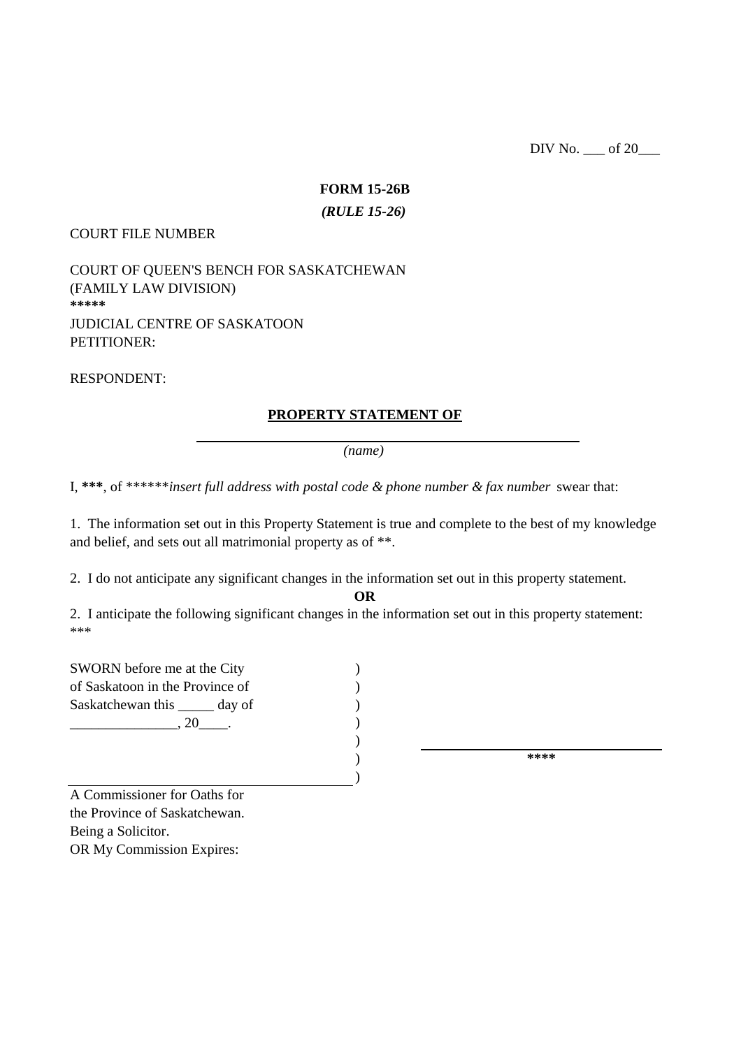DIV No. <u>\_\_\_</u> of 20\_\_\_

# **FORM 15-26B**

### *(RULE 15-26)*

#### COURT FILE NUMBER

JUDICIAL CENTRE OF SASKATOON PETITIONER: COURT OF QUEEN'S BENCH FOR SASKATCHEWAN **\*\*\*\*\*** (FAMILY LAW DIVISION)

RESPONDENT:

## **PROPERTY STATEMENT OF**

*(name)*

I, **\*\*\***, of \*\*\*\*\*\**insert full address with postal code & phone number & fax number* swear that:

1. The information set out in this Property Statement is true and complete to the best of my knowledge and belief, and sets out all matrimonial property as of \*\*.

2. I do not anticipate any significant changes in the information set out in this property statement.

**OR**

\*\*\* 2. I anticipate the following significant changes in the information set out in this property statement:

 $\lambda$ 

) ) ) ) ) ) SWORN before me at the City of Saskatoon in the Province of Saskatchewan this \_\_\_\_\_ day of  $.20$ \_\_\_\_\_.

**\*\*\*\***

OR My Commission Expires: A Commissioner for Oaths for the Province of Saskatchewan. Being a Solicitor.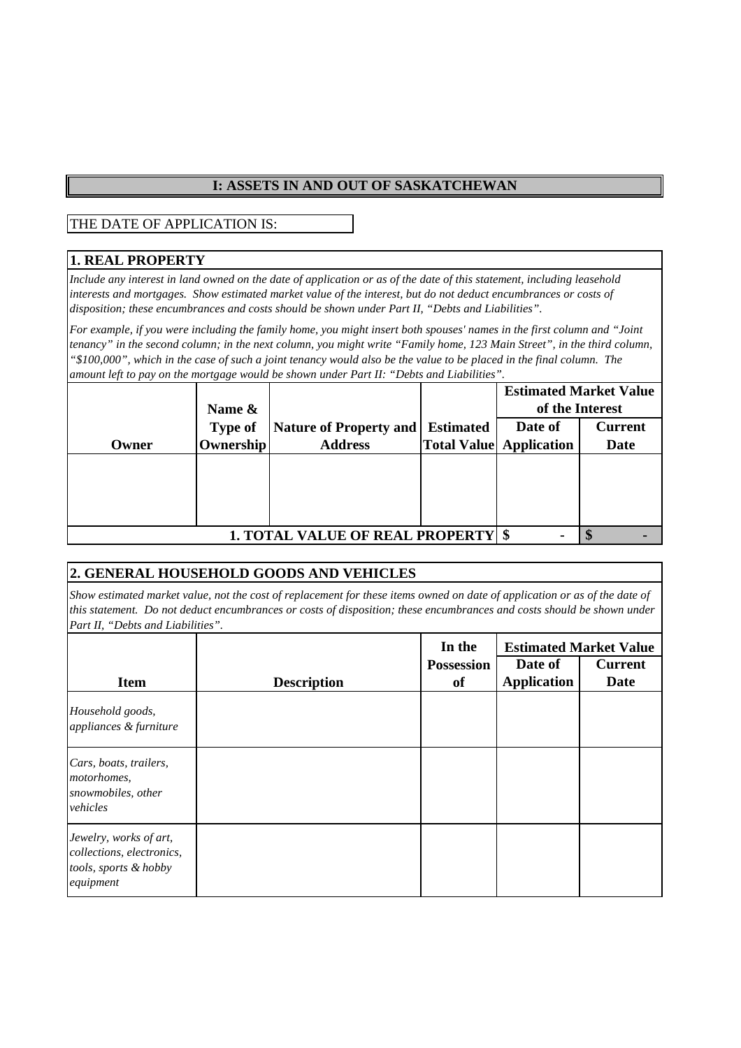### **I: ASSETS IN AND OUT OF SASKATCHEWAN**

THE DATE OF APPLICATION IS:

### **1. REAL PROPERTY**

*Include any interest in land owned on the date of application or as of the date of this statement, including leasehold interests and mortgages. Show estimated market value of the interest, but do not deduct encumbrances or costs of disposition; these encumbrances and costs should be shown under Part II, "Debts and Liabilities".*

*For example, if you were including the family home, you might insert both spouses' names in the first column and "Joint tenancy" in the second column; in the next column, you might write "Family home, 123 Main Street", in the third column, "\$100,000", which in the case of such a joint tenancy would also be the value to be placed in the final column. The amount left to pay on the mortgage would be shown under Part II: "Debts and Liabilities".*

|                                           |                  |                               |                  | <b>Estimated Market Value</b>  |                 |
|-------------------------------------------|------------------|-------------------------------|------------------|--------------------------------|-----------------|
|                                           | Name &           |                               |                  |                                | of the Interest |
|                                           | <b>Type of</b>   | <b>Nature of Property and</b> | <b>Estimated</b> | Date of                        | <b>Current</b>  |
| Owner                                     | <b>Ownership</b> | <b>Address</b>                |                  | <b>Total Value Application</b> | Date            |
|                                           |                  |                               |                  |                                |                 |
|                                           |                  |                               |                  |                                |                 |
|                                           |                  |                               |                  |                                |                 |
|                                           |                  |                               |                  |                                |                 |
| <b>1. TOTAL VALUE OF REAL PROPERTY \$</b> |                  |                               |                  |                                |                 |

## **2. GENERAL HOUSEHOLD GOODS AND VEHICLES**

*Show estimated market value, not the cost of replacement for these items owned on date of application or as of the date of this statement. Do not deduct encumbrances or costs of disposition; these encumbrances and costs should be shown under Part II, "Debts and Liabilities".*

| <b>Item</b>                                                                               | <b>Description</b> | In the<br><b>Possession</b><br>of | <b>Estimated Market Value</b><br>Date of<br><b>Application</b> | <b>Current</b><br><b>Date</b> |
|-------------------------------------------------------------------------------------------|--------------------|-----------------------------------|----------------------------------------------------------------|-------------------------------|
| Household goods,<br>appliances & furniture                                                |                    |                                   |                                                                |                               |
| Cars, boats, trailers,<br>motorhomes.<br>snowmobiles, other<br>vehicles                   |                    |                                   |                                                                |                               |
| Jewelry, works of art,<br>collections, electronics,<br>tools, sports & hobby<br>equipment |                    |                                   |                                                                |                               |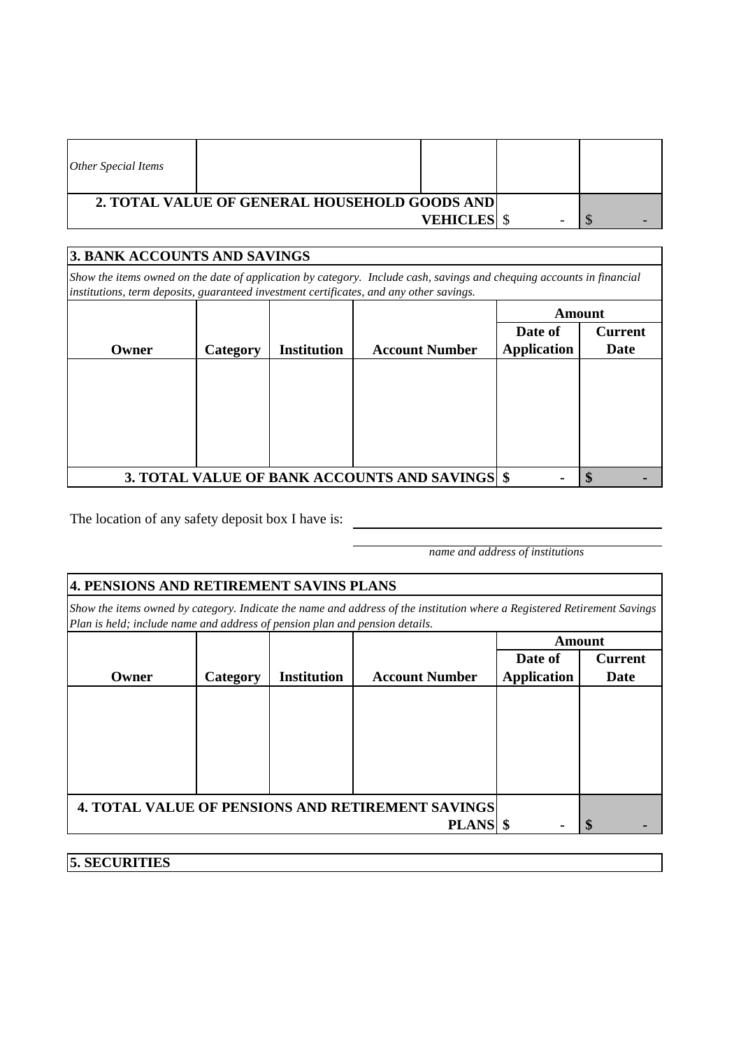| Other Special Items                           |                 |  |  |
|-----------------------------------------------|-----------------|--|--|
| 2. TOTAL VALUE OF GENERAL HOUSEHOLD GOODS AND |                 |  |  |
|                                               | <b>VEHICLES</b> |  |  |

## **Date of Application Current Date \$ - \$ - 3. TOTAL VALUE OF BANK ACCOUNTS AND SAVINGS Amount Owner Category Institution Account Number 3. BANK ACCOUNTS AND SAVINGS** *Show the items owned on the date of application by category. Include cash, savings and chequing accounts in financial institutions, term deposits, guaranteed investment certificates, and any other savings.*

The location of any safety deposit box I have is:

**5. SECURITIES**

*name and address of institutions*

|       | 4. PENSIONS AND RETIREMENT SAVINS PLANS                                                                                                                                                                 |                    |                                                          |                    |                |  |
|-------|---------------------------------------------------------------------------------------------------------------------------------------------------------------------------------------------------------|--------------------|----------------------------------------------------------|--------------------|----------------|--|
|       | Show the items owned by category. Indicate the name and address of the institution where a Registered Retirement Savings<br>Plan is held; include name and address of pension plan and pension details. |                    |                                                          |                    |                |  |
|       |                                                                                                                                                                                                         |                    |                                                          |                    | Amount         |  |
|       |                                                                                                                                                                                                         |                    |                                                          | Date of            | <b>Current</b> |  |
| Owner | Category                                                                                                                                                                                                | <b>Institution</b> | <b>Account Number</b>                                    | <b>Application</b> | <b>Date</b>    |  |
|       |                                                                                                                                                                                                         |                    |                                                          |                    |                |  |
|       |                                                                                                                                                                                                         |                    | <b>4. TOTAL VALUE OF PENSIONS AND RETIREMENT SAVINGS</b> |                    |                |  |
|       |                                                                                                                                                                                                         |                    | <b>PLANS</b>                                             |                    | S              |  |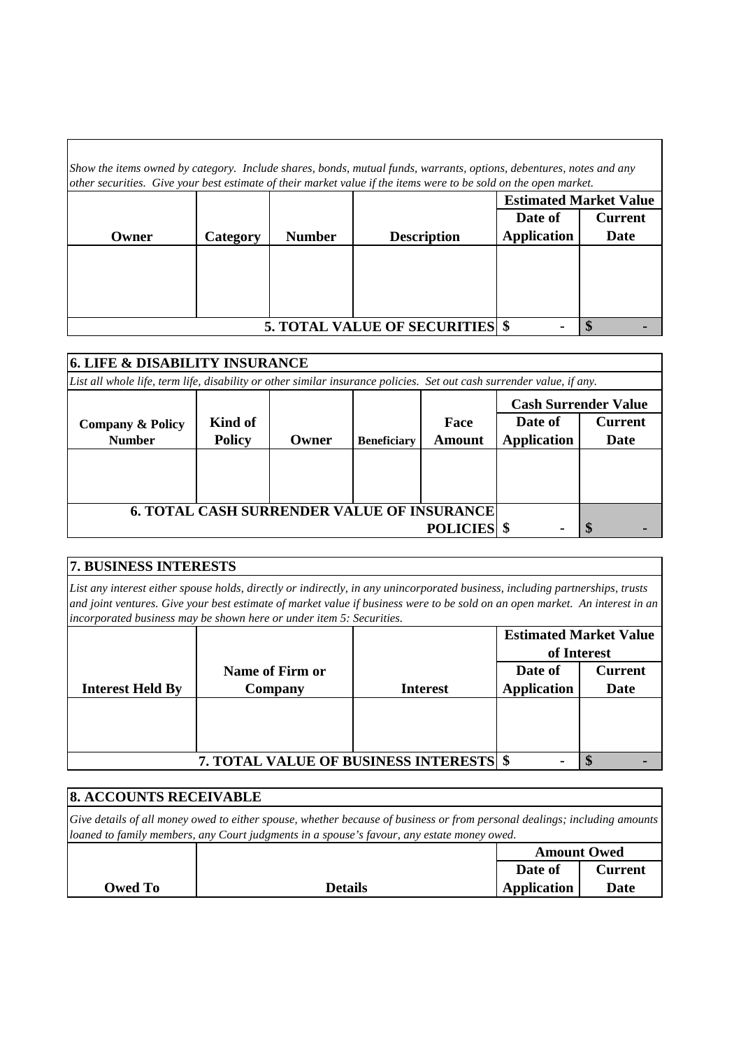| Show the items owned by category. Include shares, bonds, mutual funds, warrants, options, debentures, notes and any<br>other securities. Give your best estimate of their market value if the items were to be sold on the open market. |          |               |                                     |                               |                |  |
|-----------------------------------------------------------------------------------------------------------------------------------------------------------------------------------------------------------------------------------------|----------|---------------|-------------------------------------|-------------------------------|----------------|--|
|                                                                                                                                                                                                                                         |          |               |                                     | <b>Estimated Market Value</b> |                |  |
|                                                                                                                                                                                                                                         |          |               |                                     | Date of                       | <b>Current</b> |  |
| Owner                                                                                                                                                                                                                                   | Category | <b>Number</b> | <b>Description</b>                  | <b>Application</b>            | Date           |  |
|                                                                                                                                                                                                                                         |          |               |                                     |                               |                |  |
|                                                                                                                                                                                                                                         |          |               |                                     |                               |                |  |
|                                                                                                                                                                                                                                         |          |               |                                     |                               |                |  |
|                                                                                                                                                                                                                                         |          |               |                                     |                               |                |  |
|                                                                                                                                                                                                                                         |          |               | <b>5. TOTAL VALUE OF SECURITIES</b> |                               |                |  |

| <b>6. LIFE &amp; DISABILITY INSURANCE</b>                                                                             |               |       |                    |                 |                             |                |  |
|-----------------------------------------------------------------------------------------------------------------------|---------------|-------|--------------------|-----------------|-----------------------------|----------------|--|
| List all whole life, term life, disability or other similar insurance policies. Set out cash surrender value, if any. |               |       |                    |                 |                             |                |  |
|                                                                                                                       |               |       |                    |                 | <b>Cash Surrender Value</b> |                |  |
| <b>Company &amp; Policy</b>                                                                                           | Kind of       |       |                    | Face            | Date of                     | <b>Current</b> |  |
| <b>Number</b>                                                                                                         | <b>Policy</b> | Owner | <b>Beneficiary</b> | Amount          | <b>Application</b>          | Date           |  |
|                                                                                                                       |               |       |                    |                 |                             |                |  |
|                                                                                                                       |               |       |                    |                 |                             |                |  |
|                                                                                                                       |               |       |                    |                 |                             |                |  |
| <b>6. TOTAL CASH SURRENDER VALUE OF INSURANCE</b>                                                                     |               |       |                    |                 |                             |                |  |
|                                                                                                                       |               |       |                    | <b>POLICIES</b> |                             |                |  |

| <b>7. BUSINESS INTERESTS</b>                                                                                                  |
|-------------------------------------------------------------------------------------------------------------------------------|
| List any interest either spouse holds, directly or indirectly, in any unincorporated business, including partnerships, trusts |
| and joint ventures. Give your best estimate of market value if business were to be sold on an open market. An interest in an  |
| incorporated business may be shown here or under item 5: Securities.                                                          |

|                         |                                                |                 | <b>Estimated Market Value</b><br>of Interest |                |
|-------------------------|------------------------------------------------|-----------------|----------------------------------------------|----------------|
|                         | Name of Firm or                                |                 | Date of                                      | <b>Current</b> |
| <b>Interest Held By</b> | Company                                        | <b>Interest</b> | <b>Application</b>                           | <b>Date</b>    |
|                         |                                                |                 |                                              |                |
|                         |                                                |                 |                                              |                |
|                         |                                                |                 |                                              |                |
|                         | <b>7. TOTAL VALUE OF BUSINESS INTERESTS \$</b> |                 |                                              |                |

| <b>8. ACCOUNTS RECEIVABLE</b>                                                                                                                                                                                           |                |                    |                |  |  |
|-------------------------------------------------------------------------------------------------------------------------------------------------------------------------------------------------------------------------|----------------|--------------------|----------------|--|--|
| Give details of all money owed to either spouse, whether because of business or from personal dealings; including amounts<br>loaned to family members, any Court judgments in a spouse's favour, any estate money owed. |                |                    |                |  |  |
|                                                                                                                                                                                                                         |                | <b>Amount Owed</b> |                |  |  |
|                                                                                                                                                                                                                         |                | Date of            | <b>Current</b> |  |  |
| Owed To                                                                                                                                                                                                                 | <b>Details</b> | Application        | Date           |  |  |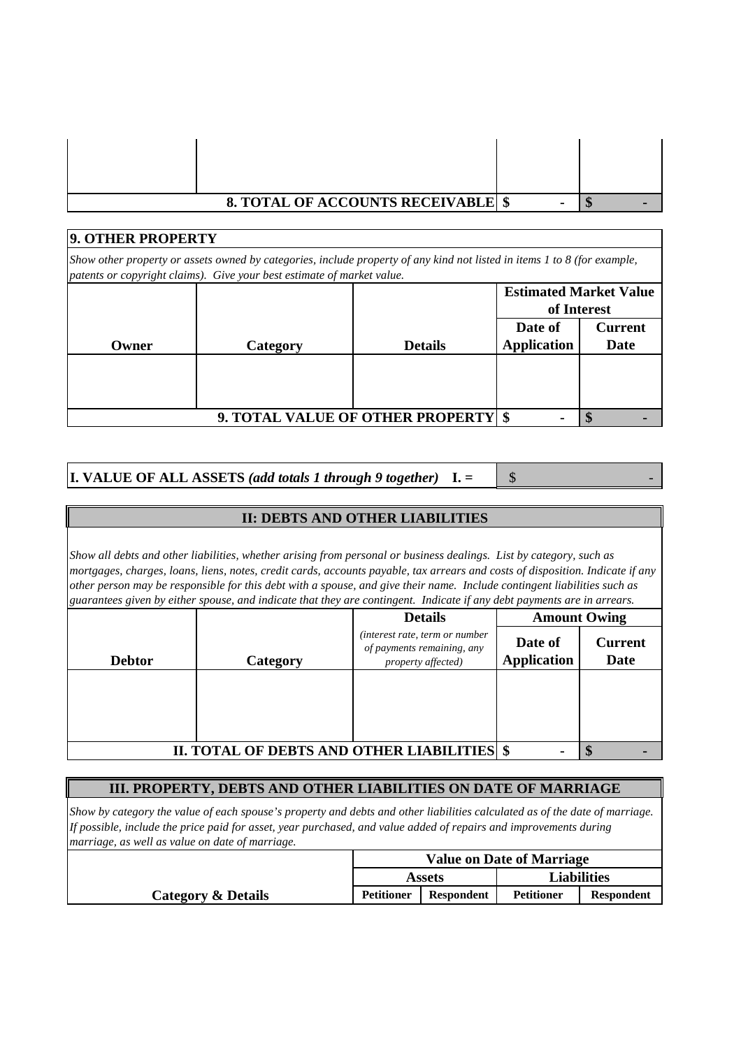| <b>8. TOTAL OF ACCOUNTS RECEIVABLE \$</b> |  |
|-------------------------------------------|--|

| 9. OTHER PROPERTY<br>Show other property or assets owned by categories, include property of any kind not listed in items 1 to 8 (for example,<br>patents or copyright claims). Give your best estimate of market value. |          |                                       |                    |                |  |  |  |
|-------------------------------------------------------------------------------------------------------------------------------------------------------------------------------------------------------------------------|----------|---------------------------------------|--------------------|----------------|--|--|--|
|                                                                                                                                                                                                                         |          |                                       |                    |                |  |  |  |
|                                                                                                                                                                                                                         |          |                                       | of Interest        |                |  |  |  |
|                                                                                                                                                                                                                         |          |                                       | Date of            | <b>Current</b> |  |  |  |
| Owner                                                                                                                                                                                                                   | Category | <b>Details</b>                        | <b>Application</b> | Date           |  |  |  |
|                                                                                                                                                                                                                         |          |                                       |                    |                |  |  |  |
|                                                                                                                                                                                                                         |          |                                       |                    |                |  |  |  |
|                                                                                                                                                                                                                         |          |                                       |                    |                |  |  |  |
|                                                                                                                                                                                                                         |          | 9. TOTAL VALUE OF OTHER PROPERTY   \$ |                    |                |  |  |  |

**I. VALUE OF ALL ASSETS** (add totals 1 through 9 together)  $\mathbf{I} = \begin{bmatrix} \mathbf{\hat{s}} \end{bmatrix}$ 

### **II: DEBTS AND OTHER LIABILITIES**

*Show all debts and other liabilities, whether arising from personal or business dealings. List by category, such as mortgages, charges, loans, liens, notes, credit cards, accounts payable, tax arrears and costs of disposition. Indicate if any other person may be responsible for this debt with a spouse, and give their name. Include contingent liabilities such as guarantees given by either spouse, and indicate that they are contingent. Indicate if any debt payments are in arrears.*

|                                             |          | <b>Details</b>                                                                     | <b>Amount Owing</b>           |                               |
|---------------------------------------------|----------|------------------------------------------------------------------------------------|-------------------------------|-------------------------------|
| <b>Debtor</b>                               | Category | (interest rate, term or number<br>of payments remaining, any<br>property affected) | Date of<br><b>Application</b> | <b>Current</b><br><b>Date</b> |
|                                             |          |                                                                                    |                               |                               |
|                                             |          |                                                                                    |                               |                               |
|                                             |          |                                                                                    |                               |                               |
| II. TOTAL OF DEBTS AND OTHER LIABILITIES \$ |          |                                                                                    |                               |                               |

## **III. PROPERTY, DEBTS AND OTHER LIABILITIES ON DATE OF MARRIAGE**

*Show by category the value of each spouse's property and debts and other liabilities calculated as of the date of marriage. If possible, include the price paid for asset, year purchased, and value added of repairs and improvements during marriage, as well as value on date of marriage.*

|                    | <b>Value on Date of Marriage</b> |                   |                    |                   |
|--------------------|----------------------------------|-------------------|--------------------|-------------------|
|                    | <b>Assets</b>                    |                   | <b>Liabilities</b> |                   |
| Category & Details | <b>Petitioner</b>                | <b>Respondent</b> | <b>Petitioner</b>  | <b>Respondent</b> |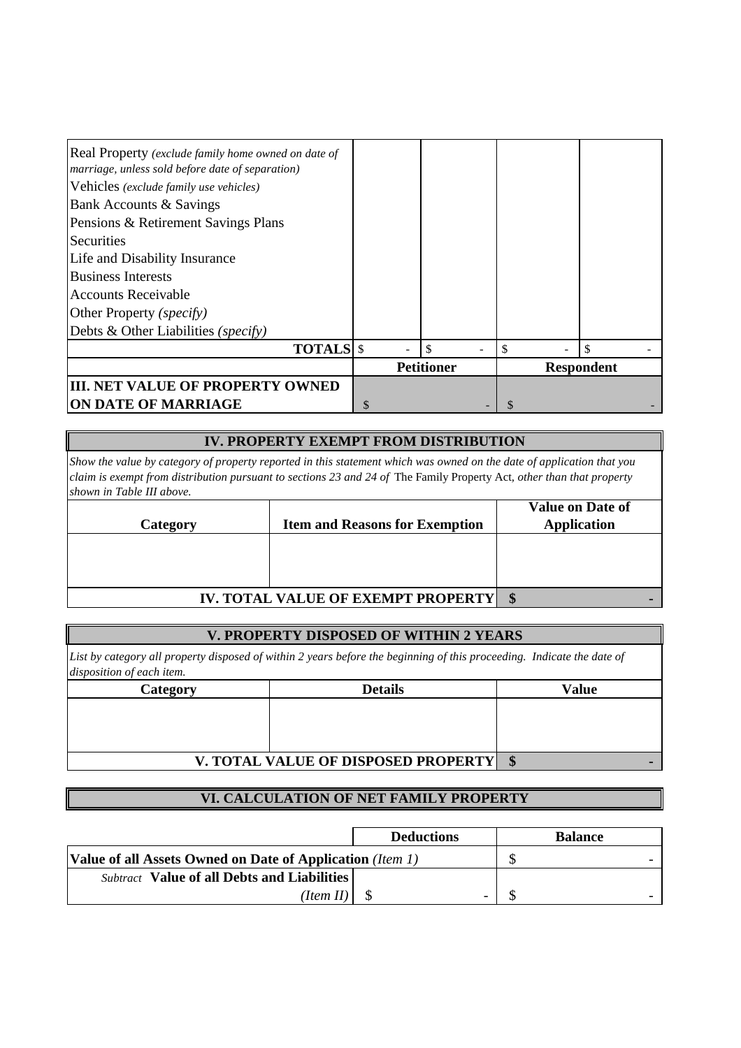| Real Property (exclude family home owned on date of<br>marriage, unless sold before date of separation)<br>Vehicles (exclude family use vehicles)<br>Bank Accounts & Savings |   |                   |   |                   |
|------------------------------------------------------------------------------------------------------------------------------------------------------------------------------|---|-------------------|---|-------------------|
| Pensions & Retirement Savings Plans                                                                                                                                          |   |                   |   |                   |
| Securities                                                                                                                                                                   |   |                   |   |                   |
| Life and Disability Insurance                                                                                                                                                |   |                   |   |                   |
| <b>Business Interests</b>                                                                                                                                                    |   |                   |   |                   |
| <b>Accounts Receivable</b>                                                                                                                                                   |   |                   |   |                   |
| Other Property (specify)                                                                                                                                                     |   |                   |   |                   |
| Debts & Other Liabilities (specify)                                                                                                                                          |   |                   |   |                   |
| <b>TOTALS</b> \$                                                                                                                                                             |   |                   |   | \$                |
|                                                                                                                                                                              |   | <b>Petitioner</b> |   | <b>Respondent</b> |
| <b>III. NET VALUE OF PROPERTY OWNED</b>                                                                                                                                      |   |                   |   |                   |
| <b>ON DATE OF MARRIAGE</b>                                                                                                                                                   | S |                   | S |                   |

### **IV. PROPERTY EXEMPT FROM DISTRIBUTION**

*Show the value by category of property reported in this statement which was owned on the date of application that you claim is exempt from distribution pursuant to sections 23 and 24 of* The Family Property Act*, other than that property shown in Table III above.*

|          |                                            | <b>Value on Date of</b> |
|----------|--------------------------------------------|-------------------------|
| Category | <b>Item and Reasons for Exemption</b>      | <b>Application</b>      |
|          |                                            |                         |
|          |                                            |                         |
|          |                                            |                         |
|          | <b>IV. TOTAL VALUE OF EXEMPT PROPERTY </b> | $\mathbf{s}$            |

### **V. PROPERTY DISPOSED OF WITHIN 2 YEARS**

*List by category all property disposed of within 2 years before the beginning of this proceeding. Indicate the date of disposition of each item.*

| Category | <b>Details</b>                      | <b>Value</b>    |
|----------|-------------------------------------|-----------------|
|          |                                     |                 |
|          |                                     |                 |
|          |                                     |                 |
|          | V. TOTAL VALUE OF DISPOSED PROPERTY | $\mathbf{\Phi}$ |

## **VI. CALCULATION OF NET FAMILY PROPERTY**

|                                                           | <b>Deductions</b> | <b>Balance</b> |
|-----------------------------------------------------------|-------------------|----------------|
| Value of all Assets Owned on Date of Application (Item 1) |                   |                |
| <b>Subtract</b> Value of all Debts and Liabilities        |                   |                |
| (Item II                                                  | -                 |                |